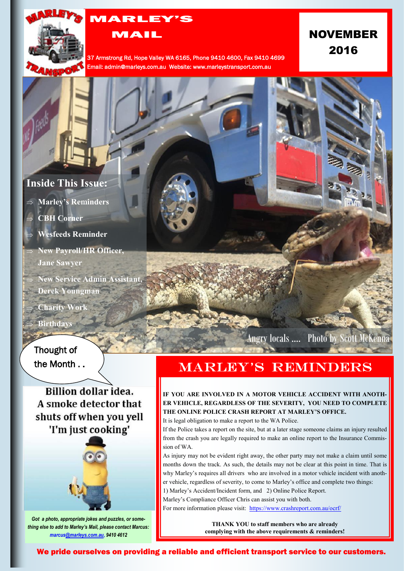

# MARLEY'S

MAIL

37 Armstrong Rd, Hope Valley WA 6165, Phone 9410 4600, Fax 9410 4699 Email: admin@marleys.com.au Website: www.marleystransport.com.au

# NOVEMBER 2016

## **Inside This Issue:**

- **Marley's Reminders**
- **CBH Corner**
- **Wesfeeds Reminder**
- **New Payroll/HR Officer, Jane Sawyer**
- **New Service Admin Assistant, Derek Youngman**
- **Charity Wor**

**Birthdays**

## Thought of the Month . .

**Billion dollar idea.** A smoke detector that shuts off when you yell 'I'm just cooking'



*Got a photo, appropriate jokes and puzzles, or something else to add to Marley's Mail, please contact Marcus: marcus[@marleys.com.au,](mailto:ivana@marleys.com.au) 9410 4612*

Angry locals …. Photo by Scott McKenna

# **MARLEY'S REMINDERS**

### **IF YOU ARE INVOLVED IN A MOTOR VEHICLE ACCIDENT WITH ANOTH-ER VEHICLE, REGARDLESS OF THE SEVERITY, YOU NEED TO COMPLETE THE ONLINE POLICE CRASH REPORT AT MARLEY'S OFFICE.**

It is legal obligation to make a report to the WA Police.

If the Police takes a report on the site, but at a later stage someone claims an injury resulted from the crash you are legally required to make an online report to the Insurance Commission of WA.

As injury may not be evident right away, the other party may not make a claim until some months down the track. As such, the details may not be clear at this point in time. That is why Marley's requires all drivers who are involved in a motor vehicle incident with another vehicle, regardless of severity, to come to Marley's office and complete two things:

1) Marley's Accident/Incident form, and 2) Online Police Report.

Marley's Compliance Officer Chris can assist you with both. For more information please visit: https://www.crashreport.com.au/ocrf/

> **THANK YOU to staff members who are already complying with the above requirements & reminders!**

We pride ourselves on providing a reliable and efficient transport service to our customers.